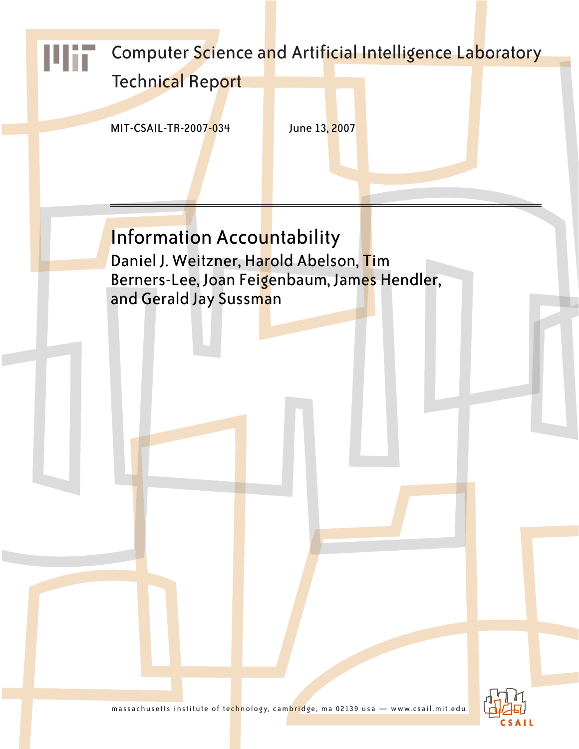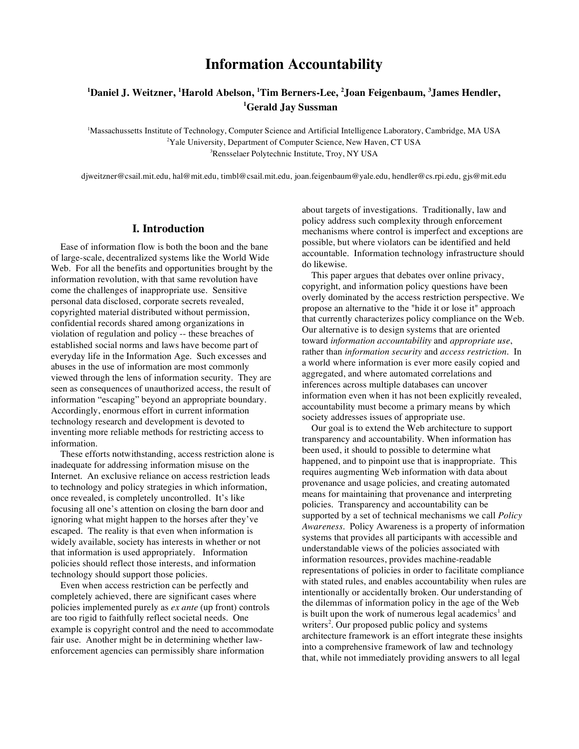# **Information Accountability**

## **1 Daniel J. Weitzner, <sup>1</sup> Harold Abelson, <sup>1</sup> Tim Berners-Lee, <sup>2</sup> Joan Feigenbaum, <sup>3</sup> James Hendler, 1 Gerald Jay Sussman**

1 Massachussetts Institute of Technology, Computer Science and Artificial Intelligence Laboratory, Cambridge, MA USA <sup>2</sup>Yale University, Department of Computer Science, New Haven, CT USA 3 Rensselaer Polytechnic Institute, Troy, NY USA

djweitzner@csail.mit.edu, hal@mit.edu, timbl@csail.mit.edu, joan.feigenbaum@yale.edu, hendler@cs.rpi.edu, gjs@mit.edu

## **I. Introduction**

Ease of information flow is both the boon and the bane of large-scale, decentralized systems like the World Wide Web. For all the benefits and opportunities brought by the information revolution, with that same revolution have come the challenges of inappropriate use. Sensitive personal data disclosed, corporate secrets revealed, copyrighted material distributed without permission, confidential records shared among organizations in violation of regulation and policy -- these breaches of established social norms and laws have become part of everyday life in the Information Age. Such excesses and abuses in the use of information are most commonly viewed through the lens of information security. They are seen as consequences of unauthorized access, the result of information "escaping" beyond an appropriate boundary. Accordingly, enormous effort in current information technology research and development is devoted to inventing more reliable methods for restricting access to information.

These efforts notwithstanding, access restriction alone is inadequate for addressing information misuse on the Internet. An exclusive reliance on access restriction leads to technology and policy strategies in which information, once revealed, is completely uncontrolled. It's like focusing all one's attention on closing the barn door and ignoring what might happen to the horses after they've escaped. The reality is that even when information is widely available, society has interests in whether or not that information is used appropriately. Information policies should reflect those interests, and information technology should support those policies.

Even when access restriction can be perfectly and completely achieved, there are significant cases where policies implemented purely as *ex ante* (up front) controls are too rigid to faithfully reflect societal needs. One example is copyright control and the need to accommodate fair use. Another might be in determining whether lawenforcement agencies can permissibly share information

about targets of investigations. Traditionally, law and policy address such complexity through enforcement mechanisms where control is imperfect and exceptions are possible, but where violators can be identified and held accountable. Information technology infrastructure should do likewise.

This paper argues that debates over online privacy, copyright, and information policy questions have been overly dominated by the access restriction perspective. We propose an alternative to the "hide it or lose it" approach that currently characterizes policy compliance on the Web. Our alternative is to design systems that are oriented toward *information accountability* and *appropriate use*, rather than *information security* and *access restriction*. In a world where information is ever more easily copied and aggregated, and where automated correlations and inferences across multiple databases can uncover information even when it has not been explicitly revealed, accountability must become a primary means by which society addresses issues of appropriate use.

Our goal is to extend the Web architecture to support transparency and accountability. When information has been used, it should to possible to determine what happened, and to pinpoint use that is inappropriate. This requires augmenting Web information with data about provenance and usage policies, and creating automated means for maintaining that provenance and interpreting policies. Transparency and accountability can be supported by a set of technical mechanisms we call *Policy Awareness*. Policy Awareness is a property of information systems that provides all participants with accessible and understandable views of the policies associated with information resources, provides machine-readable representations of policies in order to facilitate compliance with stated rules, and enables accountability when rules are intentionally or accidentally broken. Our understanding of the dilemmas of information policy in the age of the Web is built upon the work of numerous legal academics<sup>1</sup> and writers<sup>2</sup>. Our proposed public policy and systems architecture framework is an effort integrate these insights into a comprehensive framework of law and technology that, while not immediately providing answers to all legal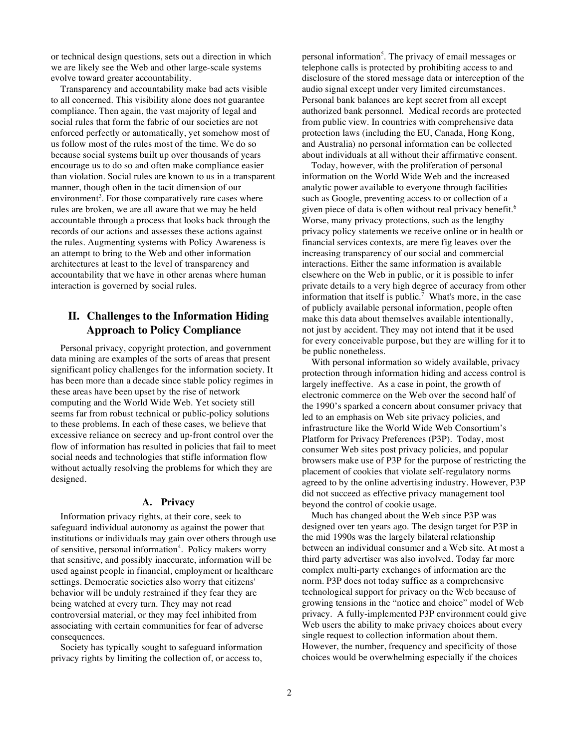or technical design questions, sets out a direction in which we are likely see the Web and other large-scale systems evolve toward greater accountability.

Transparency and accountability make bad acts visible to all concerned. This visibility alone does not guarantee compliance. Then again, the vast majority of legal and social rules that form the fabric of our societies are not enforced perfectly or automatically, yet somehow most of us follow most of the rules most of the time. We do so because social systems built up over thousands of years encourage us to do so and often make compliance easier than violation. Social rules are known to us in a transparent manner, though often in the tacit dimension of our environment<sup>3</sup>. For those comparatively rare cases where rules are broken, we are all aware that we may be held accountable through a process that looks back through the records of our actions and assesses these actions against the rules. Augmenting systems with Policy Awareness is an attempt to bring to the Web and other information architectures at least to the level of transparency and accountability that we have in other arenas where human interaction is governed by social rules.

## **II. Challenges to the Information Hiding Approach to Policy Compliance**

Personal privacy, copyright protection, and government data mining are examples of the sorts of areas that present significant policy challenges for the information society. It has been more than a decade since stable policy regimes in these areas have been upset by the rise of network computing and the World Wide Web. Yet society still seems far from robust technical or public-policy solutions to these problems. In each of these cases, we believe that excessive reliance on secrecy and up-front control over the flow of information has resulted in policies that fail to meet social needs and technologies that stifle information flow without actually resolving the problems for which they are designed.

### **A. Privacy**

Information privacy rights, at their core, seek to safeguard individual autonomy as against the power that institutions or individuals may gain over others through use of sensitive, personal information<sup>4</sup>. Policy makers worry that sensitive, and possibly inaccurate, information will be used against people in financial, employment or healthcare settings. Democratic societies also worry that citizens' behavior will be unduly restrained if they fear they are being watched at every turn. They may not read controversial material, or they may feel inhibited from associating with certain communities for fear of adverse consequences.

Society has typically sought to safeguard information privacy rights by limiting the collection of, or access to,

personal information<sup>5</sup>. The privacy of email messages or telephone calls is protected by prohibiting access to and disclosure of the stored message data or interception of the audio signal except under very limited circumstances. Personal bank balances are kept secret from all except authorized bank personnel. Medical records are protected from public view. In countries with comprehensive data protection laws (including the EU, Canada, Hong Kong, and Australia) no personal information can be collected about individuals at all without their affirmative consent.

Today, however, with the proliferation of personal information on the World Wide Web and the increased analytic power available to everyone through facilities such as Google, preventing access to or collection of a given piece of data is often without real privacy benefit. 6 Worse, many privacy protections, such as the lengthy privacy policy statements we receive online or in health or financial services contexts, are mere fig leaves over the increasing transparency of our social and commercial interactions. Either the same information is available elsewhere on the Web in public, or it is possible to infer private details to a very high degree of accuracy from other information that itself is public.<sup>7</sup> What's more, in the case of publicly available personal information, people often make this data about themselves available intentionally, not just by accident. They may not intend that it be used for every conceivable purpose, but they are willing for it to be public nonetheless.

With personal information so widely available, privacy protection through information hiding and access control is largely ineffective. As a case in point, the growth of electronic commerce on the Web over the second half of the 1990's sparked a concern about consumer privacy that led to an emphasis on Web site privacy policies, and infrastructure like the World Wide Web Consortium's Platform for Privacy Preferences (P3P). Today, most consumer Web sites post privacy policies, and popular browsers make use of P3P for the purpose of restricting the placement of cookies that violate self-regulatory norms agreed to by the online advertising industry. However, P3P did not succeed as effective privacy management tool beyond the control of cookie usage.

Much has changed about the Web since P3P was designed over ten years ago. The design target for P3P in the mid 1990s was the largely bilateral relationship between an individual consumer and a Web site. At most a third party advertiser was also involved. Today far more complex multi-party exchanges of information are the norm. P3P does not today suffice as a comprehensive technological support for privacy on the Web because of growing tensions in the "notice and choice" model of Web privacy. A fully-implemented P3P environment could give Web users the ability to make privacy choices about every single request to collection information about them. However, the number, frequency and specificity of those choices would be overwhelming especially if the choices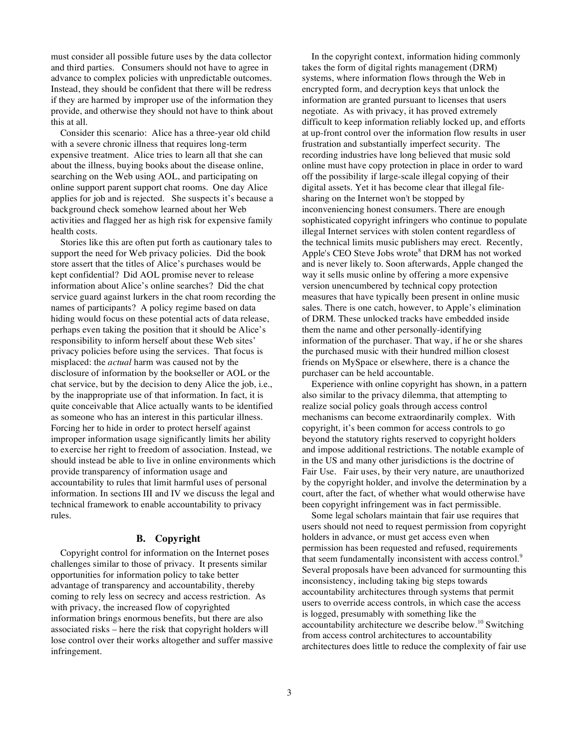must consider all possible future uses by the data collector and third parties. Consumers should not have to agree in advance to complex policies with unpredictable outcomes. Instead, they should be confident that there will be redress if they are harmed by improper use of the information they provide, and otherwise they should not have to think about this at all.

Consider this scenario: Alice has a three-year old child with a severe chronic illness that requires long-term expensive treatment. Alice tries to learn all that she can about the illness, buying books about the disease online, searching on the Web using AOL, and participating on online support parent support chat rooms. One day Alice applies for job and is rejected. She suspects it's because a background check somehow learned about her Web activities and flagged her as high risk for expensive family health costs.

Stories like this are often put forth as cautionary tales to support the need for Web privacy policies. Did the book store assert that the titles of Alice's purchases would be kept confidential? Did AOL promise never to release information about Alice's online searches? Did the chat service guard against lurkers in the chat room recording the names of participants? A policy regime based on data hiding would focus on these potential acts of data release, perhaps even taking the position that it should be Alice's responsibility to inform herself about these Web sites' privacy policies before using the services. That focus is misplaced: the *actual* harm was caused not by the disclosure of information by the bookseller or AOL or the chat service, but by the decision to deny Alice the job, i.e., by the inappropriate use of that information. In fact, it is quite conceivable that Alice actually wants to be identified as someone who has an interest in this particular illness. Forcing her to hide in order to protect herself against improper information usage significantly limits her ability to exercise her right to freedom of association. Instead, we should instead be able to live in online environments which provide transparency of information usage and accountability to rules that limit harmful uses of personal information. In sections III and IV we discuss the legal and technical framework to enable accountability to privacy rules.

#### **B. Copyright**

Copyright control for information on the Internet poses challenges similar to those of privacy. It presents similar opportunities for information policy to take better advantage of transparency and accountability, thereby coming to rely less on secrecy and access restriction. As with privacy, the increased flow of copyrighted information brings enormous benefits, but there are also associated risks – here the risk that copyright holders will lose control over their works altogether and suffer massive infringement.

In the copyright context, information hiding commonly takes the form of digital rights management (DRM) systems, where information flows through the Web in encrypted form, and decryption keys that unlock the information are granted pursuant to licenses that users negotiate. As with privacy, it has proved extremely difficult to keep information reliably locked up, and efforts at up-front control over the information flow results in user frustration and substantially imperfect security. The recording industries have long believed that music sold online must have copy protection in place in order to ward off the possibility if large-scale illegal copying of their digital assets. Yet it has become clear that illegal filesharing on the Internet won't be stopped by inconveniencing honest consumers. There are enough sophisticated copyright infringers who continue to populate illegal Internet services with stolen content regardless of the technical limits music publishers may erect. Recently, Apple's CEO Steve Jobs wrote<sup>8</sup> that DRM has not worked and is never likely to. Soon afterwards, Apple changed the way it sells music online by offering a more expensive version unencumbered by technical copy protection measures that have typically been present in online music sales. There is one catch, however, to Apple's elimination of DRM. These unlocked tracks have embedded inside them the name and other personally-identifying information of the purchaser. That way, if he or she shares the purchased music with their hundred million closest friends on MySpace or elsewhere, there is a chance the purchaser can be held accountable.

Experience with online copyright has shown, in a pattern also similar to the privacy dilemma, that attempting to realize social policy goals through access control mechanisms can become extraordinarily complex. With copyright, it's been common for access controls to go beyond the statutory rights reserved to copyright holders and impose additional restrictions. The notable example of in the US and many other jurisdictions is the doctrine of Fair Use. Fair uses, by their very nature, are unauthorized by the copyright holder, and involve the determination by a court, after the fact, of whether what would otherwise have been copyright infringement was in fact permissible.

Some legal scholars maintain that fair use requires that users should not need to request permission from copyright holders in advance, or must get access even when permission has been requested and refused, requirements that seem fundamentally inconsistent with access control.<sup>9</sup> Several proposals have been advanced for surmounting this inconsistency, including taking big steps towards accountability architectures through systems that permit users to override access controls, in which case the access is logged, presumably with something like the accountability architecture we describe below. <sup>10</sup> Switching from access control architectures to accountability architectures does little to reduce the complexity of fair use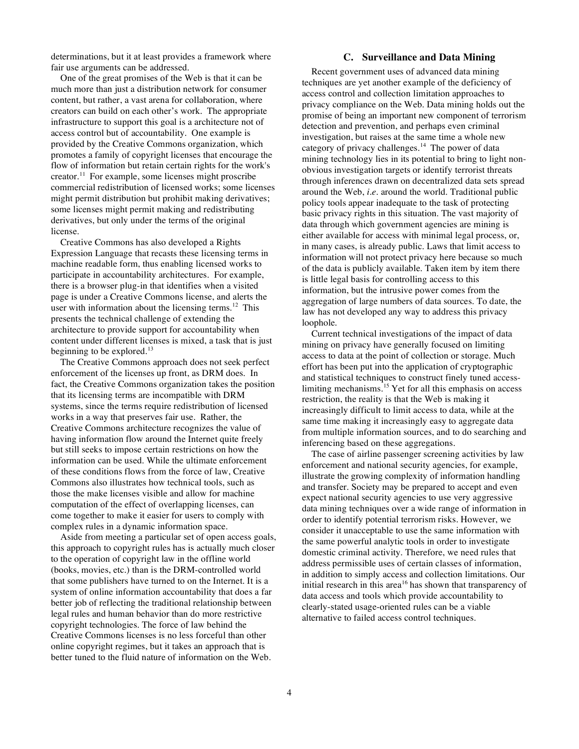determinations, but it at least provides a framework where fair use arguments can be addressed.

One of the great promises of the Web is that it can be much more than just a distribution network for consumer content, but rather, a vast arena for collaboration, where creators can build on each other's work. The appropriate infrastructure to support this goal is a architecture not of access control but of accountability. One example is provided by the Creative Commons organization, which promotes a family of copyright licenses that encourage the flow of information but retain certain rights for the work's creator. <sup>11</sup> For example, some licenses might proscribe commercial redistribution of licensed works; some licenses might permit distribution but prohibit making derivatives; some licenses might permit making and redistributing derivatives, but only under the terms of the original license.

Creative Commons has also developed a Rights Expression Language that recasts these licensing terms in machine readable form, thus enabling licensed works to participate in accountability architectures. For example, there is a browser plug-in that identifies when a visited page is under a Creative Commons license, and alerts the user with information about the licensing terms.<sup>12</sup> This presents the technical challenge of extending the architecture to provide support for accountability when content under different licenses is mixed, a task that is just beginning to be explored.<sup>13</sup>

The Creative Commons approach does not seek perfect enforcement of the licenses up front, as DRM does. In fact, the Creative Commons organization takes the position that its licensing terms are incompatible with DRM systems, since the terms require redistribution of licensed works in a way that preserves fair use. Rather, the Creative Commons architecture recognizes the value of having information flow around the Internet quite freely but still seeks to impose certain restrictions on how the information can be used. While the ultimate enforcement of these conditions flows from the force of law, Creative Commons also illustrates how technical tools, such as those the make licenses visible and allow for machine computation of the effect of overlapping licenses, can come together to make it easier for users to comply with complex rules in a dynamic information space.

Aside from meeting a particular set of open access goals, this approach to copyright rules has is actually much closer to the operation of copyright law in the offline world (books, movies, etc.) than is the DRM-controlled world that some publishers have turned to on the Internet. It is a system of online information accountability that does a far better job of reflecting the traditional relationship between legal rules and human behavior than do more restrictive copyright technologies. The force of law behind the Creative Commons licenses is no less forceful than other online copyright regimes, but it takes an approach that is better tuned to the fluid nature of information on the Web.

### **C. Surveillance and Data Mining**

Recent government uses of advanced data mining techniques are yet another example of the deficiency of access control and collection limitation approaches to privacy compliance on the Web. Data mining holds out the promise of being an important new component of terrorism detection and prevention, and perhaps even criminal investigation, but raises at the same time a whole new category of privacy challenges.<sup>14</sup> The power of data mining technology lies in its potential to bring to light nonobvious investigation targets or identify terrorist threats through inferences drawn on decentralized data sets spread around the Web, *i.e*. around the world. Traditional public policy tools appear inadequate to the task of protecting basic privacy rights in this situation. The vast majority of data through which government agencies are mining is either available for access with minimal legal process, or, in many cases, is already public. Laws that limit access to information will not protect privacy here because so much of the data is publicly available. Taken item by item there is little legal basis for controlling access to this information, but the intrusive power comes from the aggregation of large numbers of data sources. To date, the law has not developed any way to address this privacy loophole.

Current technical investigations of the impact of data mining on privacy have generally focused on limiting access to data at the point of collection or storage. Much effort has been put into the application of cryptographic and statistical techniques to construct finely tuned accesslimiting mechanisms.<sup>15</sup> Yet for all this emphasis on access restriction, the reality is that the Web is making it increasingly difficult to limit access to data, while at the same time making it increasingly easy to aggregate data from multiple information sources, and to do searching and inferencing based on these aggregations.

The case of airline passenger screening activities by law enforcement and national security agencies, for example, illustrate the growing complexity of information handling and transfer. Society may be prepared to accept and even expect national security agencies to use very aggressive data mining techniques over a wide range of information in order to identify potential terrorism risks. However, we consider it unacceptable to use the same information with the same powerful analytic tools in order to investigate domestic criminal activity. Therefore, we need rules that address permissible uses of certain classes of information, in addition to simply access and collection limitations. Our initial research in this area<sup>16</sup> has shown that transparency of data access and tools which provide accountability to clearly-stated usage-oriented rules can be a viable alternative to failed access control techniques.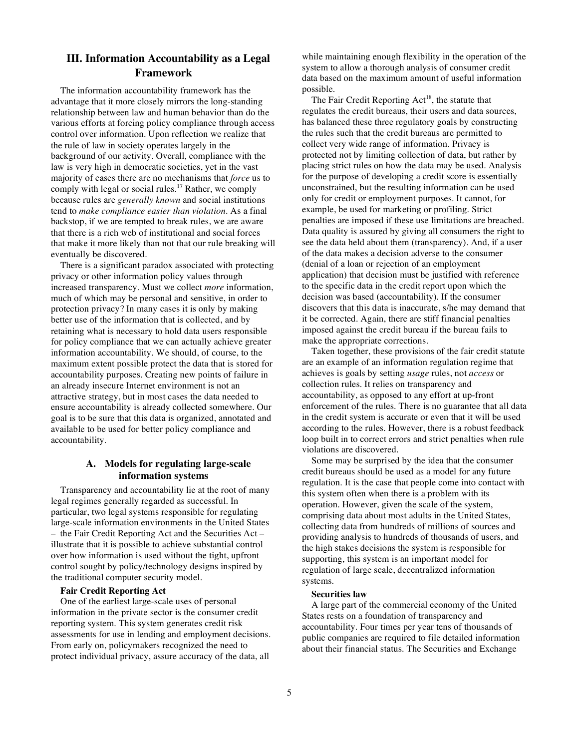## **III. Information Accountability as a Legal Framework**

The information accountability framework has the advantage that it more closely mirrors the long-standing relationship between law and human behavior than do the various efforts at forcing policy compliance through access control over information. Upon reflection we realize that the rule of law in society operates largely in the background of our activity. Overall, compliance with the law is very high in democratic societies, yet in the vast majority of cases there are no mechanisms that *force* us to comply with legal or social rules.<sup>17</sup> Rather, we comply because rules are *generally known* and social institutions tend to *make compliance easier than violation*. As a final backstop, if we are tempted to break rules, we are aware that there is a rich web of institutional and social forces that make it more likely than not that our rule breaking will eventually be discovered.

There is a significant paradox associated with protecting privacy or other information policy values through increased transparency. Must we collect *more* information, much of which may be personal and sensitive, in order to protection privacy? In many cases it is only by making better use of the information that is collected, and by retaining what is necessary to hold data users responsible for policy compliance that we can actually achieve greater information accountability. We should, of course, to the maximum extent possible protect the data that is stored for accountability purposes. Creating new points of failure in an already insecure Internet environment is not an attractive strategy, but in most cases the data needed to ensure accountability is already collected somewhere. Our goal is to be sure that this data is organized, annotated and available to be used for better policy compliance and accountability.

## **A. Models for regulating large-scale information systems**

Transparency and accountability lie at the root of many legal regimes generally regarded as successful. In particular, two legal systems responsible for regulating large-scale information environments in the United States – the Fair Credit Reporting Act and the Securities Act – illustrate that it is possible to achieve substantial control over how information is used without the tight, upfront control sought by policy/technology designs inspired by the traditional computer security model.

## **Fair Credit Reporting Act**

One of the earliest large-scale uses of personal information in the private sector is the consumer credit reporting system. This system generates credit risk assessments for use in lending and employment decisions. From early on, policymakers recognized the need to protect individual privacy, assure accuracy of the data, all

while maintaining enough flexibility in the operation of the system to allow a thorough analysis of consumer credit data based on the maximum amount of useful information possible.

The Fair Credit Reporting Act<sup>18</sup>, the statute that regulates the credit bureaus, their users and data sources, has balanced these three regulatory goals by constructing the rules such that the credit bureaus are permitted to collect very wide range of information. Privacy is protected not by limiting collection of data, but rather by placing strict rules on how the data may be used. Analysis for the purpose of developing a credit score is essentially unconstrained, but the resulting information can be used only for credit or employment purposes. It cannot, for example, be used for marketing or profiling. Strict penalties are imposed if these use limitations are breached. Data quality is assured by giving all consumers the right to see the data held about them (transparency). And, if a user of the data makes a decision adverse to the consumer (denial of a loan or rejection of an employment application) that decision must be justified with reference to the specific data in the credit report upon which the decision was based (accountability). If the consumer discovers that this data is inaccurate, s/he may demand that it be corrected. Again, there are stiff financial penalties imposed against the credit bureau if the bureau fails to make the appropriate corrections.

Taken together, these provisions of the fair credit statute are an example of an information regulation regime that achieves is goals by setting *usage* rules, not *access* or collection rules. It relies on transparency and accountability, as opposed to any effort at up-front enforcement of the rules. There is no guarantee that all data in the credit system is accurate or even that it will be used according to the rules. However, there is a robust feedback loop built in to correct errors and strict penalties when rule violations are discovered.

Some may be surprised by the idea that the consumer credit bureaus should be used as a model for any future regulation. It is the case that people come into contact with this system often when there is a problem with its operation. However, given the scale of the system, comprising data about most adults in the United States, collecting data from hundreds of millions of sources and providing analysis to hundreds of thousands of users, and the high stakes decisions the system is responsible for supporting, this system is an important model for regulation of large scale, decentralized information systems.

#### **Securities law**

A large part of the commercial economy of the United States rests on a foundation of transparency and accountability. Four times per year tens of thousands of public companies are required to file detailed information about their financial status. The Securities and Exchange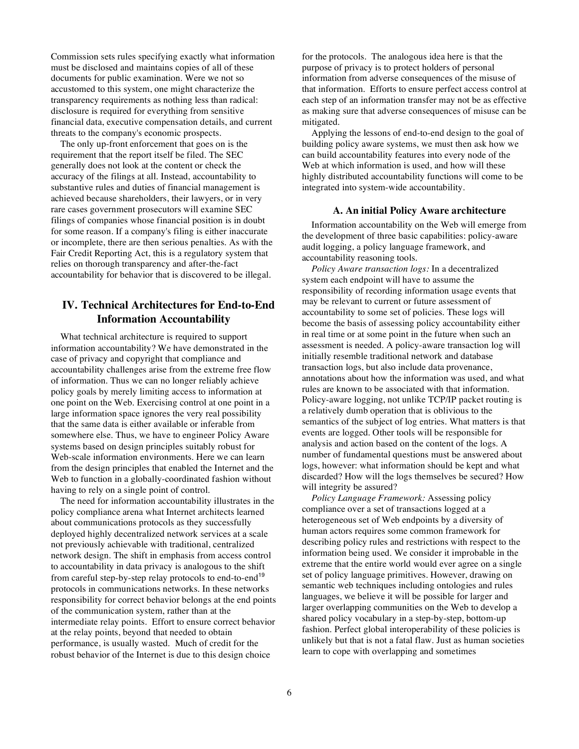Commission sets rules specifying exactly what information must be disclosed and maintains copies of all of these documents for public examination. Were we not so accustomed to this system, one might characterize the transparency requirements as nothing less than radical: disclosure is required for everything from sensitive financial data, executive compensation details, and current threats to the company's economic prospects.

The only up-front enforcement that goes on is the requirement that the report itself be filed. The SEC generally does not look at the content or check the accuracy of the filings at all. Instead, accountability to substantive rules and duties of financial management is achieved because shareholders, their lawyers, or in very rare cases government prosecutors will examine SEC filings of companies whose financial position is in doubt for some reason. If a company's filing is either inaccurate or incomplete, there are then serious penalties. As with the Fair Credit Reporting Act, this is a regulatory system that relies on thorough transparency and after-the-fact accountability for behavior that is discovered to be illegal.

## **IV. Technical Architectures for End-to-End Information Accountability**

What technical architecture is required to support information accountability? We have demonstrated in the case of privacy and copyright that compliance and accountability challenges arise from the extreme free flow of information. Thus we can no longer reliably achieve policy goals by merely limiting access to information at one point on the Web. Exercising control at one point in a large information space ignores the very real possibility that the same data is either available or inferable from somewhere else. Thus, we have to engineer Policy Aware systems based on design principles suitably robust for Web-scale information environments. Here we can learn from the design principles that enabled the Internet and the Web to function in a globally-coordinated fashion without having to rely on a single point of control.

The need for information accountability illustrates in the policy compliance arena what Internet architects learned about communications protocols as they successfully deployed highly decentralized network services at a scale not previously achievable with traditional, centralized network design. The shift in emphasis from access control to accountability in data privacy is analogous to the shift from careful step-by-step relay protocols to end-to-end<sup>19</sup> protocols in communications networks. In these networks responsibility for correct behavior belongs at the end points of the communication system, rather than at the intermediate relay points. Effort to ensure correct behavior at the relay points, beyond that needed to obtain performance, is usually wasted. Much of credit for the robust behavior of the Internet is due to this design choice

for the protocols. The analogous idea here is that the purpose of privacy is to protect holders of personal information from adverse consequences of the misuse of that information. Efforts to ensure perfect access control at each step of an information transfer may not be as effective as making sure that adverse consequences of misuse can be mitigated.

Applying the lessons of end-to-end design to the goal of building policy aware systems, we must then ask how we can build accountability features into every node of the Web at which information is used, and how will these highly distributed accountability functions will come to be integrated into system-wide accountability.

### **A. An initial Policy Aware architecture**

Information accountability on the Web will emerge from the development of three basic capabilities: policy-aware audit logging, a policy language framework, and accountability reasoning tools.

*Policy Aware transaction logs:* In a decentralized system each endpoint will have to assume the responsibility of recording information usage events that may be relevant to current or future assessment of accountability to some set of policies. These logs will become the basis of assessing policy accountability either in real time or at some point in the future when such an assessment is needed. A policy-aware transaction log will initially resemble traditional network and database transaction logs, but also include data provenance, annotations about how the information was used, and what rules are known to be associated with that information. Policy-aware logging, not unlike TCP/IP packet routing is a relatively dumb operation that is oblivious to the semantics of the subject of log entries. What matters is that events are logged. Other tools will be responsible for analysis and action based on the content of the logs. A number of fundamental questions must be answered about logs, however: what information should be kept and what discarded? How will the logs themselves be secured? How will integrity be assured?

*Policy Language Framework:* Assessing policy compliance over a set of transactions logged at a heterogeneous set of Web endpoints by a diversity of human actors requires some common framework for describing policy rules and restrictions with respect to the information being used. We consider it improbable in the extreme that the entire world would ever agree on a single set of policy language primitives. However, drawing on semantic web techniques including ontologies and rules languages, we believe it will be possible for larger and larger overlapping communities on the Web to develop a shared policy vocabulary in a step-by-step, bottom-up fashion. Perfect global interoperability of these policies is unlikely but that is not a fatal flaw. Just as human societies learn to cope with overlapping and sometimes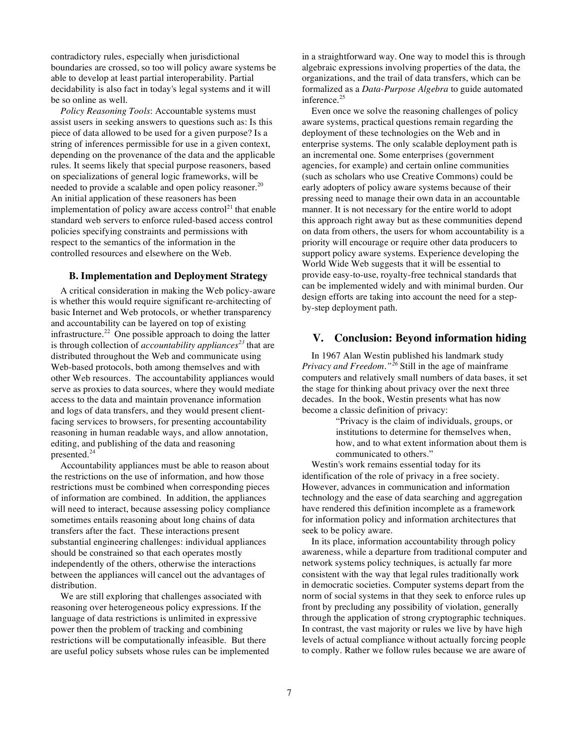contradictory rules, especially when jurisdictional boundaries are crossed, so too will policy aware systems be able to develop at least partial interoperability. Partial decidability is also fact in today's legal systems and it will be so online as well.

*Policy Reasoning Tools*: Accountable systems must assist users in seeking answers to questions such as: Is this piece of data allowed to be used for a given purpose? Is a string of inferences permissible for use in a given context, depending on the provenance of the data and the applicable rules. It seems likely that special purpose reasoners, based on specializations of general logic frameworks, will be needed to provide a scalable and open policy reasoner.<sup>20</sup> An initial application of these reasoners has been implementation of policy aware access control<sup>21</sup> that enable standard web servers to enforce ruled-based access control policies specifying constraints and permissions with respect to the semantics of the information in the controlled resources and elsewhere on the Web.

#### **B. Implementation and Deployment Strategy**

A critical consideration in making the Web policy-aware is whether this would require significant re-architecting of basic Internet and Web protocols, or whether transparency and accountability can be layered on top of existing infrastructure.<sup>22</sup> One possible approach to doing the latter is through collection of *accountability appliances<sup>23</sup>* that are distributed throughout the Web and communicate using Web-based protocols, both among themselves and with other Web resources. The accountability appliances would serve as proxies to data sources, where they would mediate access to the data and maintain provenance information and logs of data transfers, and they would present clientfacing services to browsers, for presenting accountability reasoning in human readable ways, and allow annotation, editing, and publishing of the data and reasoning presented. 24

Accountability appliances must be able to reason about the restrictions on the use of information, and how those restrictions must be combined when corresponding pieces of information are combined. In addition, the appliances will need to interact, because assessing policy compliance sometimes entails reasoning about long chains of data transfers after the fact. These interactions present substantial engineering challenges: individual appliances should be constrained so that each operates mostly independently of the others, otherwise the interactions between the appliances will cancel out the advantages of distribution.

We are still exploring that challenges associated with reasoning over heterogeneous policy expressions. If the language of data restrictions is unlimited in expressive power then the problem of tracking and combining restrictions will be computationally infeasible. But there are useful policy subsets whose rules can be implemented in a straightforward way. One way to model this is through algebraic expressions involving properties of the data, the organizations, and the trail of data transfers, which can be formalized as a *Data-Purpose Algebra* to guide automated inference. 25

Even once we solve the reasoning challenges of policy aware systems, practical questions remain regarding the deployment of these technologies on the Web and in enterprise systems. The only scalable deployment path is an incremental one. Some enterprises (government agencies, for example) and certain online communities (such as scholars who use Creative Commons) could be early adopters of policy aware systems because of their pressing need to manage their own data in an accountable manner. It is not necessary for the entire world to adopt this approach right away but as these communities depend on data from others, the users for whom accountability is a priority will encourage or require other data producers to support policy aware systems. Experience developing the World Wide Web suggests that it will be essential to provide easy-to-use, royalty-free technical standards that can be implemented widely and with minimal burden. Our design efforts are taking into account the need for a stepby-step deployment path.

## **V. Conclusion: Beyond information hiding**

In 1967 Alan Westin published his landmark study *Privacy and Freedom."<sup>26</sup>* Still in the age of mainframe computers and relatively small numbers of data bases, it set the stage for thinking about privacy over the next three decades. In the book, Westin presents what has now become a classic definition of privacy:

> "Privacy is the claim of individuals, groups, or institutions to determine for themselves when, how, and to what extent information about them is communicated to others."

Westin's work remains essential today for its identification of the role of privacy in a free society. However, advances in communication and information technology and the ease of data searching and aggregation have rendered this definition incomplete as a framework for information policy and information architectures that seek to be policy aware.

In its place, information accountability through policy awareness, while a departure from traditional computer and network systems policy techniques, is actually far more consistent with the way that legal rules traditionally work in democratic societies. Computer systems depart from the norm of social systems in that they seek to enforce rules up front by precluding any possibility of violation, generally through the application of strong cryptographic techniques. In contrast, the vast majority or rules we live by have high levels of actual compliance without actually forcing people to comply. Rather we follow rules because we are aware of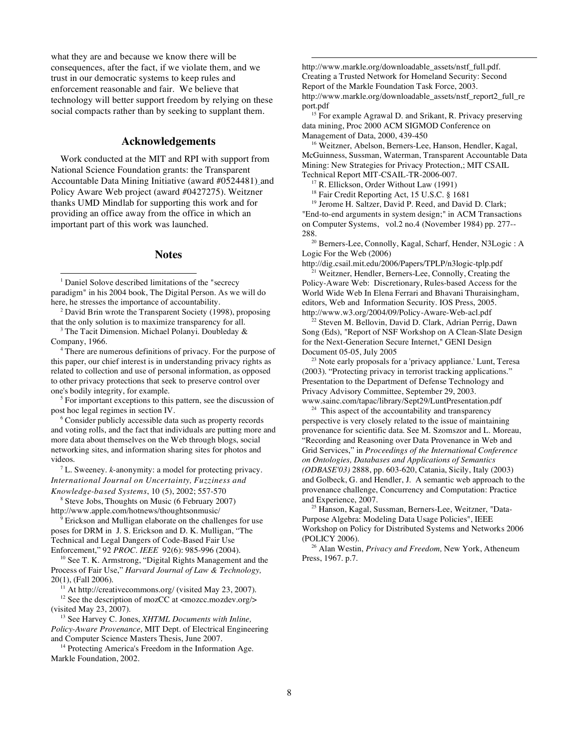what they are and because we know there will be consequences, after the fact, if we violate them, and we trust in our democratic systems to keep rules and enforcement reasonable and fair. We believe that technology will better support freedom by relying on these social compacts rather than by seeking to supplant them.

### **Acknowledgements**

Work conducted at the MIT and RPI with support from National Science Foundation grants: the Transparent Accountable Data Mining Initiative (award #0524481) and Policy Aware Web project (award #0427275). Weitzner thanks UMD Mindlab for supporting this work and for providing an office away from the office in which an important part of this work was launched.

#### **Notes**

<sup>1</sup> Daniel Solove described limitations of the "secrecy" paradigm" in his 2004 book, The Digital Person. As we will do here, he stresses the importance of accountability.

<sup>2</sup> David Brin wrote the Transparent Society (1998), proposing that the only solution is to maximize transparency for all.

<sup>3</sup> The Tacit Dimension. Michael Polanyi. Doubleday  $\&$ Company, 1966.

<sup>4</sup> There are numerous definitions of privacy. For the purpose of this paper, our chief interest is in understanding privacy rights as related to collection and use of personal information, as opposed to other privacy protections that seek to preserve control over one's bodily integrity, for example.

<sup>5</sup> For important exceptions to this pattern, see the discussion of post hoc legal regimes in section IV.

<sup>6</sup> Consider publicly accessible data such as property records and voting rolls, and the fact that individuals are putting more and more data about themselves on the Web through blogs, social networking sites, and information sharing sites for photos and videos.

<sup>7</sup> L. Sweeney. *k*-anonymity: a model for protecting privacy. *International Journal on Uncertainty, Fuzziness and Knowledge-based Systems*, 10 (5), 2002; 557-570

<sup>8</sup> Steve Jobs, Thoughts on Music (6 February 2007) http://www.apple.com/hotnews/thoughtsonmusic/

 $\theta$  Erickson and Mulligan elaborate on the challenges for use poses for DRM in J. S. Erickson and D. K. Mulligan, "The Technical and Legal Dangers of Code-Based Fair Use Enforcement," 92 *PROC. IEEE* 92(6): 985-996 (2004).

<sup>10</sup> See T. K. Armstrong, "Digital Rights Management and the Process of Fair Use," *Harvard Journal of Law & Technology,* 20(1), (Fall 2006).

 $11$  At http://creativecommons.org/ (visited May 23, 2007).

<sup>12</sup> See the description of mozCC at <mozcc.mozdev.org/> (visited May 23, 2007).

<sup>13</sup> See Harvey C. Jones, *XHTML Documents with Inline, Policy-Aware Provenance*, MIT Dept. of Electrical Engineering and Computer Science Masters Thesis, June 2007.

<sup>14</sup> Protecting America's Freedom in the Information Age. Markle Foundation, 2002.

http://www.markle.org/downloadable\_assets/nstf\_full.pdf. Creating a Trusted Network for Homeland Security: Second Report of the Markle Foundation Task Force, 2003. http://www.markle.org/downloadable\_assets/nstf\_report2\_full\_re port.pdf

j

<sup>15</sup> For example Agrawal D. and Srikant, R. Privacy preserving data mining, Proc 2000 ACM SIGMOD Conference on Management of Data, 2000, 439-450

<sup>16</sup> Weitzner, Abelson, Berners-Lee, Hanson, Hendler, Kagal, McGuinness, Sussman, Waterman, Transparent Accountable Data Mining: New Strategies for Privacy Protection,; MIT CSAIL Technical Report MIT-CSAIL-TR-2006-007.

 $17$  R. Ellickson, Order Without Law (1991)

<sup>18</sup> Fair Credit Reporting Act, 15 U.S.C. § 1681

<sup>19</sup> Jerome H. Saltzer, David P. Reed, and David D. Clark; "End-to-end arguments in system design;" in ACM Transactions on Computer Systems, vol.2 no.4 (November 1984) pp. 277-- 288.

<sup>20</sup> Berners-Lee, Connolly, Kagal, Scharf, Hender, N3Logic : A Logic For the Web (2006)

http://dig.csail.mit.edu/2006/Papers/TPLP/n3logic-tplp.pdf <sup>21</sup> Weitzner, Hendler, Berners-Lee, Connolly, Creating the

Policy-Aware Web: Discretionary, Rules-based Access for the World Wide Web In Elena Ferrari and Bhavani Thuraisingham, editors, Web and Information Security. IOS Press, 2005. http://www.w3.org/2004/09/Policy-Aware-Web-acl.pdf

<sup>22</sup> Steven M. Bellovin, David D. Clark, Adrian Perrig, Dawn Song (Eds), "Report of NSF Workshop on A Clean-Slate Design for the Next-Generation Secure Internet," GENI Design Document 05-05, July 2005

 $2<sup>23</sup>$  Note early proposals for a 'privacy appliance.' Lunt, Teresa (2003). "Protecting privacy in terrorist tracking applications." Presentation to the Department of Defense Technology and Privacy Advisory Committee, September 29, 2003. www.sainc.com/tapac/library/Sept29/LuntPresentation.pdf

 $24$  This aspect of the accountability and transparency perspective is very closely related to the issue of maintaining provenance for scientific data. See M. Szomszor and L. Moreau, "Recording and Reasoning over Data Provenance in Web and Grid Services," in *Proceedings of the International Conference on Ontologies, Databases and Applications of Semantics (ODBASE'03)* 2888, pp. 603-620, Catania, Sicily, Italy (2003) and Golbeck, G. and Hendler, J. A semantic web approach to the provenance challenge, Concurrency and Computation: Practice and Experience, 2007.

<sup>25</sup> Hanson, Kagal, Sussman, Berners-Lee, Weitzner, "Data-Purpose Algebra: Modeling Data Usage Policies", IEEE Workshop on Policy for Distributed Systems and Networks 2006 (POLICY 2006).

<sup>26</sup> Alan Westin, *Privacy and Freedom,* New York, Atheneum Press, 1967. p.7.